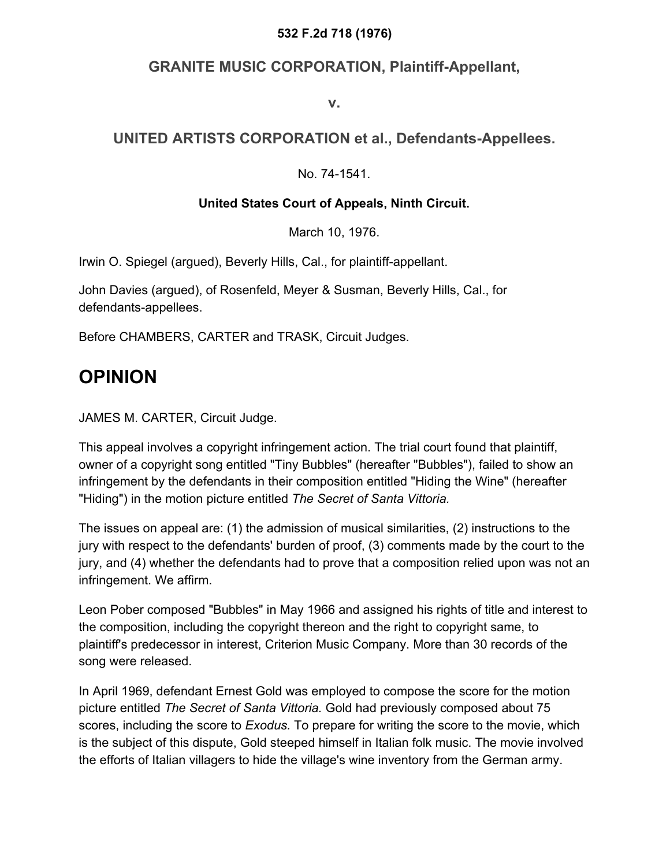#### **532 F.2d 718 (1976)**

### **GRANITE MUSIC CORPORATION, Plaintiff-Appellant,**

**v.**

### **UNITED ARTISTS CORPORATION et al., Defendants-Appellees.**

No. 74-1541.

#### **United States Court of Appeals, Ninth Circuit.**

March 10, 1976.

Irwin O. Spiegel (argued), Beverly Hills, Cal., for plaintiff-appellant.

John Davies (argued), of Rosenfeld, Meyer & Susman, Beverly Hills, Cal., for defendants-appellees.

Before CHAMBERS, CARTER and TRASK, Circuit Judges.

## **OPINION**

JAMES M. CARTER, Circuit Judge.

This appeal involves a copyright infringement action. The trial court found that plaintiff, owner of a copyright song entitled "Tiny Bubbles" (hereafter "Bubbles"), failed to show an infringement by the defendants in their composition entitled "Hiding the Wine" (hereafter "Hiding") in the motion picture entitled *The Secret of Santa Vittoria.*

The issues on appeal are: (1) the admission of musical similarities, (2) instructions to the jury with respect to the defendants' burden of proof, (3) comments made by the court to the jury, and (4) whether the defendants had to prove that a composition relied upon was not an infringement. We affirm.

Leon Pober composed "Bubbles" in May 1966 and assigned his rights of title and interest to the composition, including the copyright thereon and the right to copyright same, to plaintiff's predecessor in interest, Criterion Music Company. More than 30 records of the song were released.

In April 1969, defendant Ernest Gold was employed to compose the score for the motion picture entitled *The Secret of Santa Vittoria.* Gold had previously composed about 75 scores, including the score to *Exodus.* To prepare for writing the score to the movie, which is the subject of this dispute, Gold steeped himself in Italian folk music. The movie involved the efforts of Italian villagers to hide the village's wine inventory from the German army.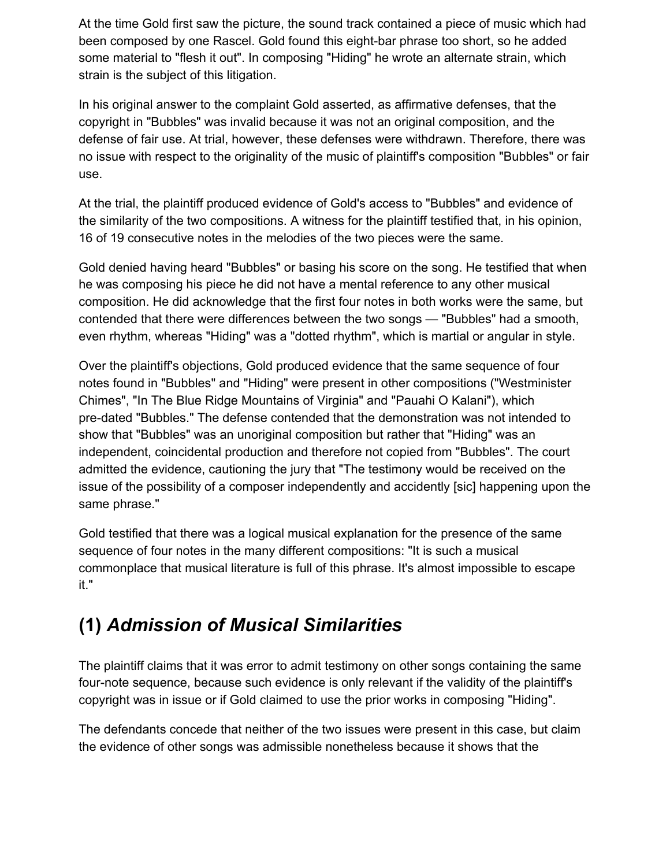At the time Gold first saw the picture, the sound track contained a piece of music which had been composed by one Rascel. Gold found this eight-bar phrase too short, so he added some material to "flesh it out". In composing "Hiding" he wrote an alternate strain, which strain is the subject of this litigation.

In his original answer to the complaint Gold asserted, as affirmative defenses, that the copyright in "Bubbles" was invalid because it was not an original composition, and the defense of fair use. At trial, however, these defenses were withdrawn. Therefore, there was no issue with respect to the originality of the music of plaintiff's composition "Bubbles" or fair use.

At the trial, the plaintiff produced evidence of Gold's access to "Bubbles" and evidence of the similarity of the two compositions. A witness for the plaintiff testified that, in his opinion, 16 of 19 consecutive notes in the melodies of the two pieces were the same.

Gold denied having heard "Bubbles" or basing his score on the song. He testified that when he was composing his piece he did not have a mental reference to any other musical composition. He did acknowledge that the first four notes in both works were the same, but contended that there were differences between the two songs — "Bubbles" had a smooth, even rhythm, whereas "Hiding" was a "dotted rhythm", which is martial or angular in style.

Over the plaintiff's objections, Gold produced evidence that the same sequence of four notes found in "Bubbles" and "Hiding" were present in other compositions ("Westminister Chimes", "In The Blue Ridge Mountains of Virginia" and "Pauahi O Kalani"), which pre-dated "Bubbles." The defense contended that the demonstration was not intended to show that "Bubbles" was an unoriginal composition but rather that "Hiding" was an independent, coincidental production and therefore not copied from "Bubbles". The court admitted the evidence, cautioning the jury that "The testimony would be received on the issue of the possibility of a composer independently and accidently [sic] happening upon the same phrase."

Gold testified that there was a logical musical explanation for the presence of the same sequence of four notes in the many different compositions: "It is such a musical commonplace that musical literature is full of this phrase. It's almost impossible to escape it."

## **(1)** *Admission of Musical Similarities*

The plaintiff claims that it was error to admit testimony on other songs containing the same four-note sequence, because such evidence is only relevant if the validity of the plaintiff's copyright was in issue or if Gold claimed to use the prior works in composing "Hiding".

The defendants concede that neither of the two issues were present in this case, but claim the evidence of other songs was admissible nonetheless because it shows that the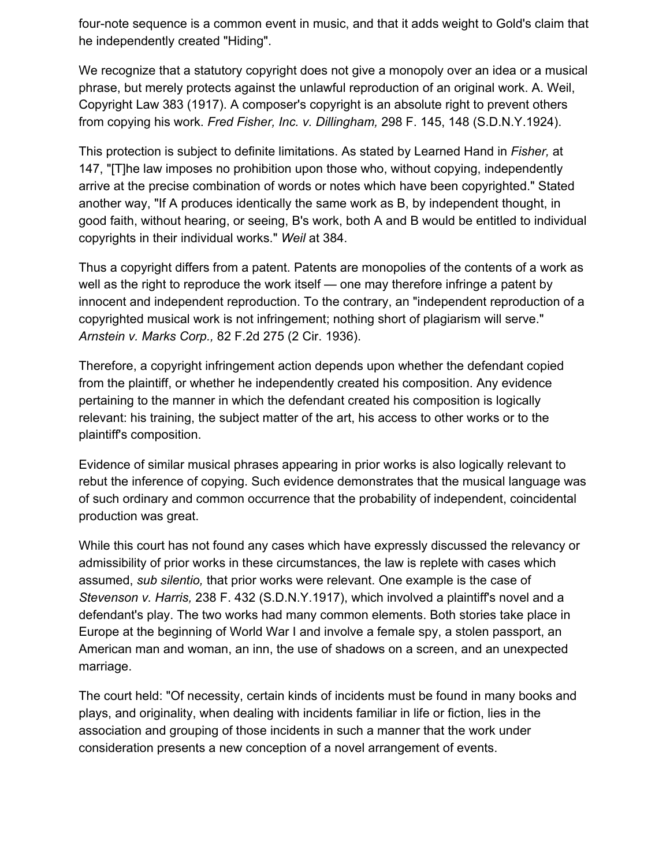four-note sequence is a common event in music, and that it adds weight to Gold's claim that he independently created "Hiding".

We recognize that a statutory copyright does not give a monopoly over an idea or a musical phrase, but merely protects against the unlawful reproduction of an original work. A. Weil, Copyright Law 383 (1917). A composer's copyright is an absolute right to prevent others from copying his work. *Fred Fisher, Inc. v. Dillingham,* 298 F. 145, 148 (S.D.N.Y.1924).

This protection is subject to definite limitations. As stated by Learned Hand in *Fisher,* at 147, "[T]he law imposes no prohibition upon those who, without copying, independently arrive at the precise combination of words or notes which have been copyrighted." Stated another way, "If A produces identically the same work as B, by independent thought, in good faith, without hearing, or seeing, B's work, both A and B would be entitled to individual copyrights in their individual works." *Weil* at 384.

Thus a copyright differs from a patent. Patents are monopolies of the contents of a work as well as the right to reproduce the work itself — one may therefore infringe a patent by innocent and independent reproduction. To the contrary, an "independent reproduction of a copyrighted musical work is not infringement; nothing short of plagiarism will serve." *Arnstein v. Marks Corp.,* 82 F.2d 275 (2 Cir. 1936).

Therefore, a copyright infringement action depends upon whether the defendant copied from the plaintiff, or whether he independently created his composition. Any evidence pertaining to the manner in which the defendant created his composition is logically relevant: his training, the subject matter of the art, his access to other works or to the plaintiff's composition.

Evidence of similar musical phrases appearing in prior works is also logically relevant to rebut the inference of copying. Such evidence demonstrates that the musical language was of such ordinary and common occurrence that the probability of independent, coincidental production was great.

While this court has not found any cases which have expressly discussed the relevancy or admissibility of prior works in these circumstances, the law is replete with cases which assumed, *sub silentio,* that prior works were relevant. One example is the case of *Stevenson v. Harris,* 238 F. 432 (S.D.N.Y.1917), which involved a plaintiff's novel and a defendant's play. The two works had many common elements. Both stories take place in Europe at the beginning of World War I and involve a female spy, a stolen passport, an American man and woman, an inn, the use of shadows on a screen, and an unexpected marriage.

The court held: "Of necessity, certain kinds of incidents must be found in many books and plays, and originality, when dealing with incidents familiar in life or fiction, lies in the association and grouping of those incidents in such a manner that the work under consideration presents a new conception of a novel arrangement of events.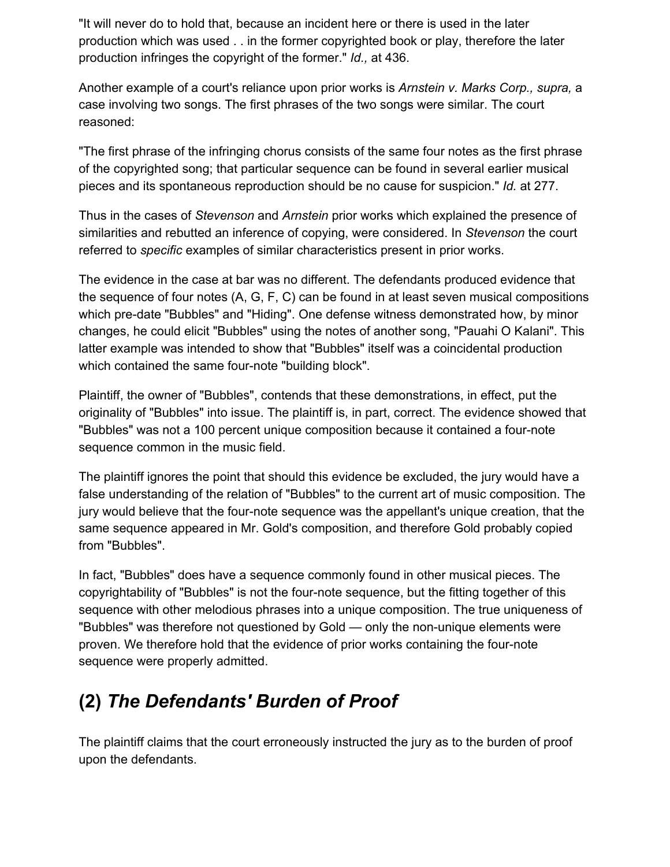"It will never do to hold that, because an incident here or there is used in the later production which was used . . in the former copyrighted book or play, therefore the later production infringes the copyright of the former." *Id.,* at 436.

Another example of a court's reliance upon prior works is *Arnstein v. Marks Corp., supra,* a case involving two songs. The first phrases of the two songs were similar. The court reasoned:

"The first phrase of the infringing chorus consists of the same four notes as the first phrase of the copyrighted song; that particular sequence can be found in several earlier musical pieces and its spontaneous reproduction should be no cause for suspicion." *Id.* at 277.

Thus in the cases of *Stevenson* and *Arnstein* prior works which explained the presence of similarities and rebutted an inference of copying, were considered. In *Stevenson* the court referred to *specific* examples of similar characteristics present in prior works.

The evidence in the case at bar was no different. The defendants produced evidence that the sequence of four notes (A, G, F, C) can be found in at least seven musical compositions which pre-date "Bubbles" and "Hiding". One defense witness demonstrated how, by minor changes, he could elicit "Bubbles" using the notes of another song, "Pauahi O Kalani". This latter example was intended to show that "Bubbles" itself was a coincidental production which contained the same four-note "building block".

Plaintiff, the owner of "Bubbles", contends that these demonstrations, in effect, put the originality of "Bubbles" into issue. The plaintiff is, in part, correct. The evidence showed that "Bubbles" was not a 100 percent unique composition because it contained a four-note sequence common in the music field.

The plaintiff ignores the point that should this evidence be excluded, the jury would have a false understanding of the relation of "Bubbles" to the current art of music composition. The jury would believe that the four-note sequence was the appellant's unique creation, that the same sequence appeared in Mr. Gold's composition, and therefore Gold probably copied from "Bubbles".

In fact, "Bubbles" does have a sequence commonly found in other musical pieces. The copyrightability of "Bubbles" is not the four-note sequence, but the fitting together of this sequence with other melodious phrases into a unique composition. The true uniqueness of "Bubbles" was therefore not questioned by Gold — only the non-unique elements were proven. We therefore hold that the evidence of prior works containing the four-note sequence were properly admitted.

# **(2)** *The Defendants' Burden of Proof*

The plaintiff claims that the court erroneously instructed the jury as to the burden of proof upon the defendants.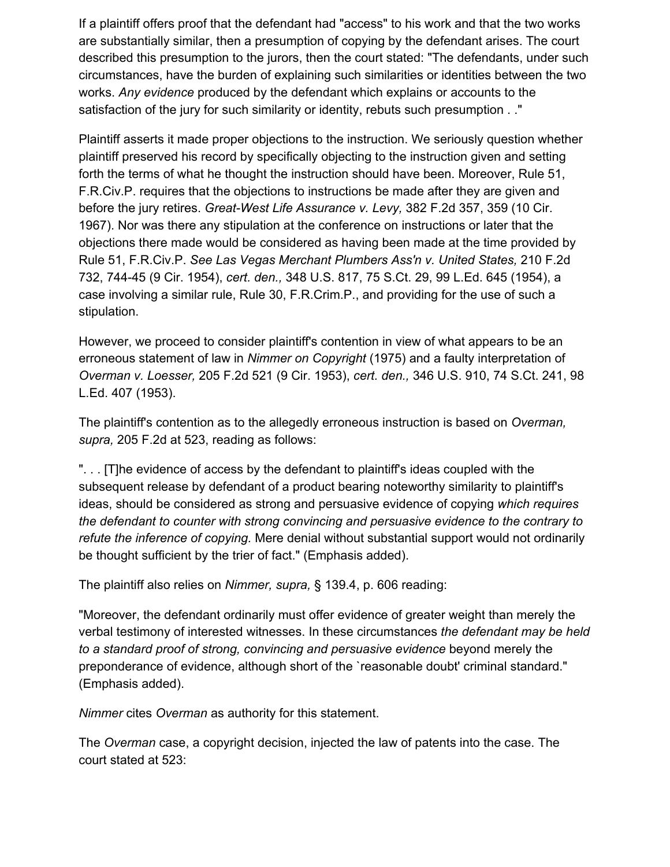If a plaintiff offers proof that the defendant had "access" to his work and that the two works are substantially similar, then a presumption of copying by the defendant arises. The court described this presumption to the jurors, then the court stated: "The defendants, under such circumstances, have the burden of explaining such similarities or identities between the two works. *Any evidence* produced by the defendant which explains or accounts to the satisfaction of the jury for such similarity or identity, rebuts such presumption . ."

Plaintiff asserts it made proper objections to the instruction. We seriously question whether plaintiff preserved his record by specifically objecting to the instruction given and setting forth the terms of what he thought the instruction should have been. Moreover, Rule 51, F.R.Civ.P. requires that the objections to instructions be made after they are given and before the jury retires. *Great-West Life Assurance v. Levy,* 382 F.2d 357, 359 (10 Cir. 1967). Nor was there any stipulation at the conference on instructions or later that the objections there made would be considered as having been made at the time provided by Rule 51, F.R.Civ.P. *See Las Vegas Merchant Plumbers Ass'n v. United States,* 210 F.2d 732, 744-45 (9 Cir. 1954), *cert. den.,* 348 U.S. 817, 75 S.Ct. 29, 99 L.Ed. 645 (1954), a case involving a similar rule, Rule 30, F.R.Crim.P., and providing for the use of such a stipulation.

However, we proceed to consider plaintiff's contention in view of what appears to be an erroneous statement of law in *Nimmer on Copyright* (1975) and a faulty interpretation of *Overman v. Loesser,* 205 F.2d 521 (9 Cir. 1953), *cert. den.,* 346 U.S. 910, 74 S.Ct. 241, 98 L.Ed. 407 (1953).

The plaintiff's contention as to the allegedly erroneous instruction is based on *Overman, supra,* 205 F.2d at 523, reading as follows:

". . . [T]he evidence of access by the defendant to plaintiff's ideas coupled with the subsequent release by defendant of a product bearing noteworthy similarity to plaintiff's ideas, should be considered as strong and persuasive evidence of copying *which requires the defendant to counter with strong convincing and persuasive evidence to the contrary to refute the inference of copying.* Mere denial without substantial support would not ordinarily be thought sufficient by the trier of fact." (Emphasis added).

The plaintiff also relies on *Nimmer, supra,* § 139.4, p. 606 reading:

"Moreover, the defendant ordinarily must offer evidence of greater weight than merely the verbal testimony of interested witnesses. In these circumstances *the defendant may be held to a standard proof of strong, convincing and persuasive evidence* beyond merely the preponderance of evidence, although short of the `reasonable doubt' criminal standard." (Emphasis added).

*Nimmer* cites *Overman* as authority for this statement.

The *Overman* case, a copyright decision, injected the law of patents into the case. The court stated at 523: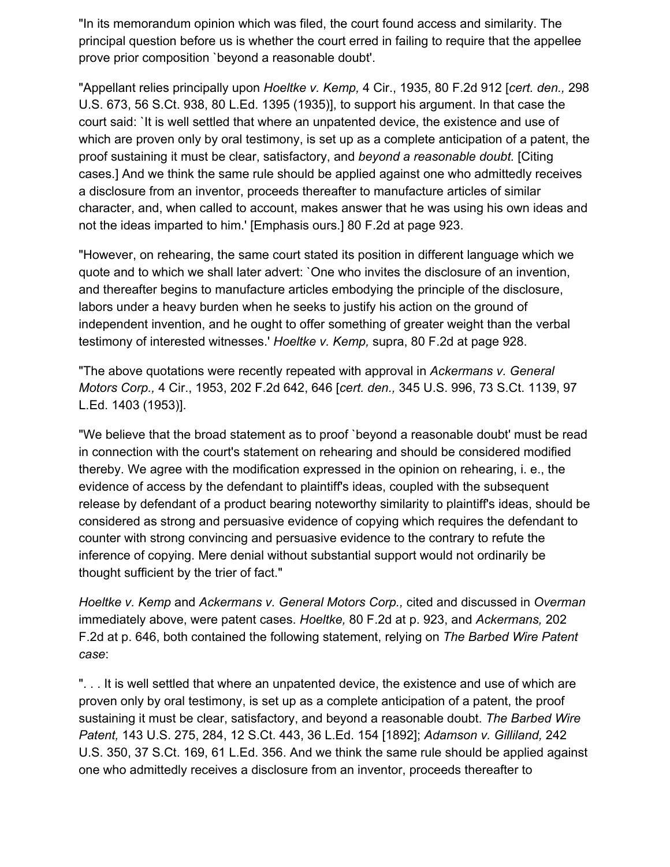"In its memorandum opinion which was filed, the court found access and similarity. The principal question before us is whether the court erred in failing to require that the appellee prove prior composition `beyond a reasonable doubt'.

"Appellant relies principally upon *Hoeltke v. Kemp,* 4 Cir., 1935, 80 F.2d 912 [*cert. den.,* 298 U.S. 673, 56 S.Ct. 938, 80 L.Ed. 1395 (1935)], to support his argument. In that case the court said: `It is well settled that where an unpatented device, the existence and use of which are proven only by oral testimony, is set up as a complete anticipation of a patent, the proof sustaining it must be clear, satisfactory, and *beyond a reasonable doubt.* [Citing cases.] And we think the same rule should be applied against one who admittedly receives a disclosure from an inventor, proceeds thereafter to manufacture articles of similar character, and, when called to account, makes answer that he was using his own ideas and not the ideas imparted to him.' [Emphasis ours.] 80 F.2d at page 923.

"However, on rehearing, the same court stated its position in different language which we quote and to which we shall later advert: `One who invites the disclosure of an invention, and thereafter begins to manufacture articles embodying the principle of the disclosure, labors under a heavy burden when he seeks to justify his action on the ground of independent invention, and he ought to offer something of greater weight than the verbal testimony of interested witnesses.' *Hoeltke v. Kemp,* supra, 80 F.2d at page 928.

"The above quotations were recently repeated with approval in *Ackermans v. General Motors Corp.,* 4 Cir., 1953, 202 F.2d 642, 646 [*cert. den.,* 345 U.S. 996, 73 S.Ct. 1139, 97 L.Ed. 1403 (1953)].

"We believe that the broad statement as to proof `beyond a reasonable doubt' must be read in connection with the court's statement on rehearing and should be considered modified thereby. We agree with the modification expressed in the opinion on rehearing, i. e., the evidence of access by the defendant to plaintiff's ideas, coupled with the subsequent release by defendant of a product bearing noteworthy similarity to plaintiff's ideas, should be considered as strong and persuasive evidence of copying which requires the defendant to counter with strong convincing and persuasive evidence to the contrary to refute the inference of copying. Mere denial without substantial support would not ordinarily be thought sufficient by the trier of fact."

*Hoeltke v. Kemp* and *Ackermans v. General Motors Corp.,* cited and discussed in *Overman* immediately above, were patent cases. *Hoeltke,* 80 F.2d at p. 923, and *Ackermans,* 202 F.2d at p. 646, both contained the following statement, relying on *The Barbed Wire Patent case*:

". . . It is well settled that where an unpatented device, the existence and use of which are proven only by oral testimony, is set up as a complete anticipation of a patent, the proof sustaining it must be clear, satisfactory, and beyond a reasonable doubt. *The Barbed Wire Patent,* 143 U.S. 275, 284, 12 S.Ct. 443, 36 L.Ed. 154 [1892]; *Adamson v. Gilliland,* 242 U.S. 350, 37 S.Ct. 169, 61 L.Ed. 356. And we think the same rule should be applied against one who admittedly receives a disclosure from an inventor, proceeds thereafter to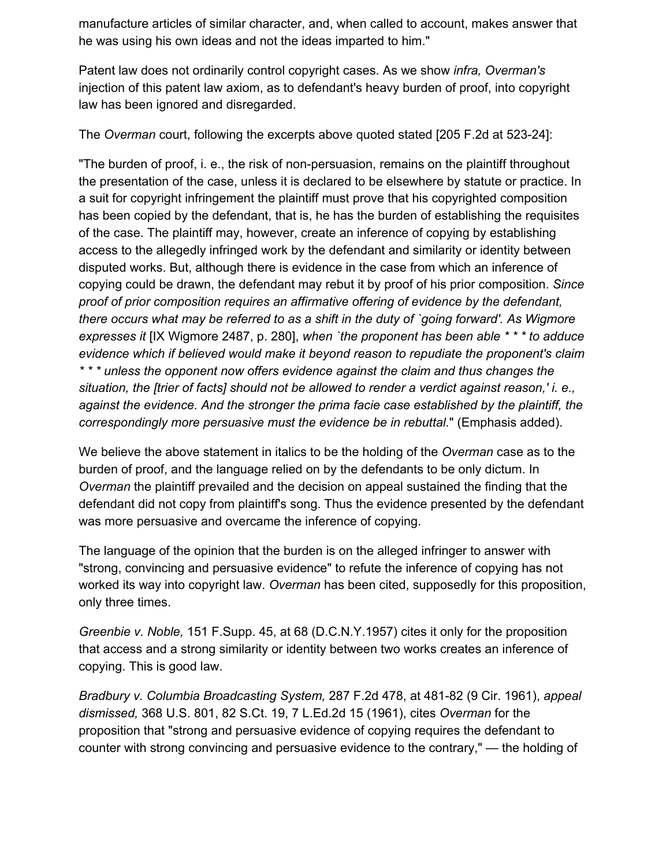manufacture articles of similar character, and, when called to account, makes answer that he was using his own ideas and not the ideas imparted to him."

Patent law does not ordinarily control copyright cases. As we show *infra, Overman's* injection of this patent law axiom, as to defendant's heavy burden of proof, into copyright law has been ignored and disregarded.

The *Overman* court, following the excerpts above quoted stated [205 F.2d at 523-24]:

"The burden of proof, i. e., the risk of non-persuasion, remains on the plaintiff throughout the presentation of the case, unless it is declared to be elsewhere by statute or practice. In a suit for copyright infringement the plaintiff must prove that his copyrighted composition has been copied by the defendant, that is, he has the burden of establishing the requisites of the case. The plaintiff may, however, create an inference of copying by establishing access to the allegedly infringed work by the defendant and similarity or identity between disputed works. But, although there is evidence in the case from which an inference of copying could be drawn, the defendant may rebut it by proof of his prior composition. *Since proof of prior composition requires an affirmative offering of evidence by the defendant, there occurs what may be referred to as a shift in the duty of `going forward'. As Wigmore expresses it* [IX Wigmore 2487, p. 280], *when `the proponent has been able \* \* \* to adduce evidence which if believed would make it beyond reason to repudiate the proponent's claim \* \* \* unless the opponent now offers evidence against the claim and thus changes the situation, the [trier of facts] should not be allowed to render a verdict against reason,' i. e., against the evidence. And the stronger the prima facie case established by the plaintiff, the correspondingly more persuasive must the evidence be in rebuttal.*" (Emphasis added).

We believe the above statement in italics to be the holding of the *Overman* case as to the burden of proof, and the language relied on by the defendants to be only dictum. In *Overman* the plaintiff prevailed and the decision on appeal sustained the finding that the defendant did not copy from plaintiff's song. Thus the evidence presented by the defendant was more persuasive and overcame the inference of copying.

The language of the opinion that the burden is on the alleged infringer to answer with "strong, convincing and persuasive evidence" to refute the inference of copying has not worked its way into copyright law. *Overman* has been cited, supposedly for this proposition, only three times.

*Greenbie v. Noble,* 151 F.Supp. 45, at 68 (D.C.N.Y.1957) cites it only for the proposition that access and a strong similarity or identity between two works creates an inference of copying. This is good law.

*Bradbury v. Columbia Broadcasting System,* 287 F.2d 478, at 481-82 (9 Cir. 1961), *appeal dismissed,* 368 U.S. 801, 82 S.Ct. 19, 7 L.Ed.2d 15 (1961), cites *Overman* for the proposition that "strong and persuasive evidence of copying requires the defendant to counter with strong convincing and persuasive evidence to the contrary," — the holding of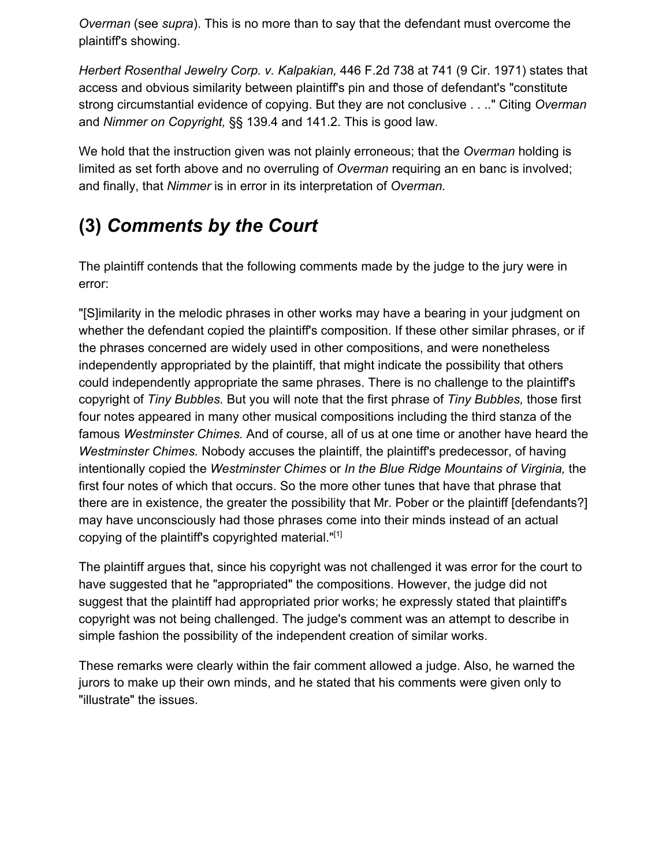*Overman* (see *supra*). This is no more than to say that the defendant must overcome the plaintiff's showing.

*Herbert Rosenthal Jewelry Corp. v. Kalpakian,* 446 F.2d 738 at 741 (9 Cir. 1971) states that access and obvious similarity between plaintiff's pin and those of defendant's "constitute strong circumstantial evidence of copying. But they are not conclusive . . .." Citing *Overman* and *Nimmer on Copyright,* §§ 139.4 and 141.2. This is good law.

We hold that the instruction given was not plainly erroneous; that the *Overman* holding is limited as set forth above and no overruling of *Overman* requiring an en banc is involved; and finally, that *Nimmer* is in error in its interpretation of *Overman.*

# **(3)** *Comments by the Court*

The plaintiff contends that the following comments made by the judge to the jury were in error:

"[S]imilarity in the melodic phrases in other works may have a bearing in your judgment on whether the defendant copied the plaintiff's composition. If these other similar phrases, or if the phrases concerned are widely used in other compositions, and were nonetheless independently appropriated by the plaintiff, that might indicate the possibility that others could independently appropriate the same phrases. There is no challenge to the plaintiff's copyright of *Tiny Bubbles.* But you will note that the first phrase of *Tiny Bubbles,* those first four notes appeared in many other musical compositions including the third stanza of the famous *Westminster Chimes.* And of course, all of us at one time or another have heard the *Westminster Chimes.* Nobody accuses the plaintiff, the plaintiff's predecessor, of having intentionally copied the *Westminster Chimes* or *In the Blue Ridge Mountains of Virginia,* the first four notes of which that occurs. So the more other tunes that have that phrase that there are in existence, the greater the possibility that Mr. Pober or the plaintiff [defendants?] may have unconsciously had those phrases come into their minds instead of an actual copying of the plaintiff's copyrighted material."[1]

The plaintiff argues that, since his copyright was not challenged it was error for the court to have suggested that he "appropriated" the compositions. However, the judge did not suggest that the plaintiff had appropriated prior works; he expressly stated that plaintiff's copyright was not being challenged. The judge's comment was an attempt to describe in simple fashion the possibility of the independent creation of similar works.

These remarks were clearly within the fair comment allowed a judge. Also, he warned the jurors to make up their own minds, and he stated that his comments were given only to "illustrate" the issues.